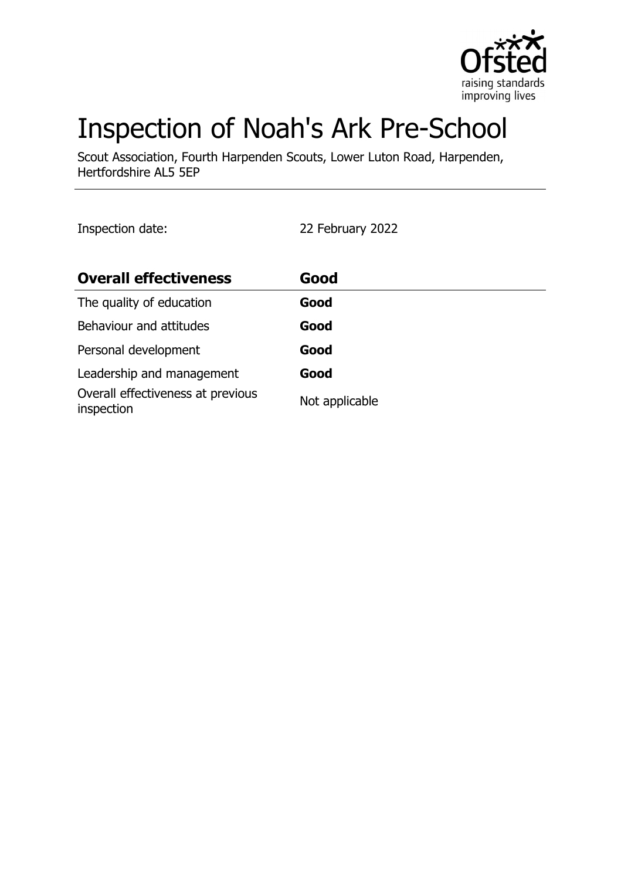

# Inspection of Noah's Ark Pre-School

Scout Association, Fourth Harpenden Scouts, Lower Luton Road, Harpenden, Hertfordshire AL5 5EP

Inspection date: 22 February 2022

| <b>Overall effectiveness</b>                    | Good           |
|-------------------------------------------------|----------------|
| The quality of education                        | Good           |
| Behaviour and attitudes                         | Good           |
| Personal development                            | Good           |
| Leadership and management                       | Good           |
| Overall effectiveness at previous<br>inspection | Not applicable |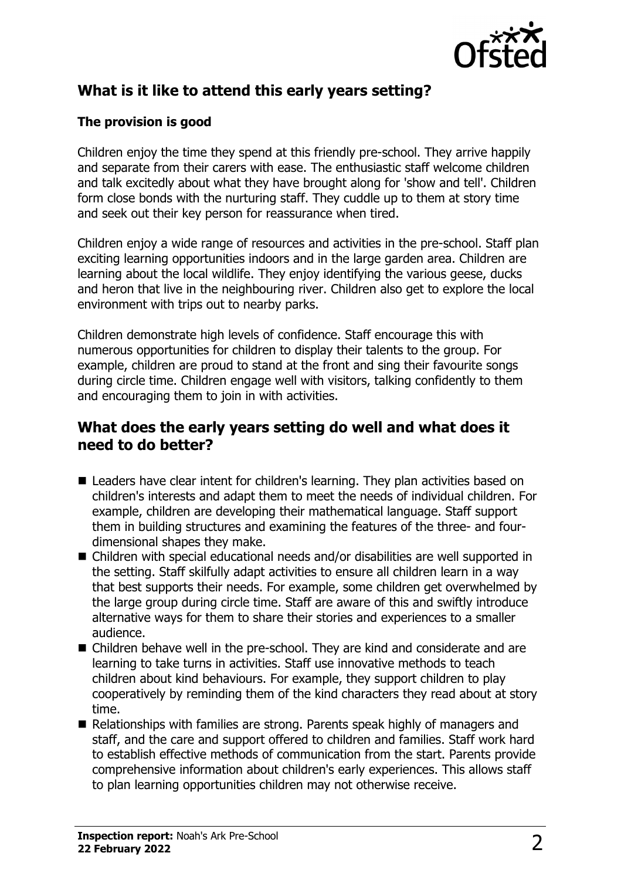

# **What is it like to attend this early years setting?**

#### **The provision is good**

Children enjoy the time they spend at this friendly pre-school. They arrive happily and separate from their carers with ease. The enthusiastic staff welcome children and talk excitedly about what they have brought along for 'show and tell'. Children form close bonds with the nurturing staff. They cuddle up to them at story time and seek out their key person for reassurance when tired.

Children enjoy a wide range of resources and activities in the pre-school. Staff plan exciting learning opportunities indoors and in the large garden area. Children are learning about the local wildlife. They enjoy identifying the various geese, ducks and heron that live in the neighbouring river. Children also get to explore the local environment with trips out to nearby parks.

Children demonstrate high levels of confidence. Staff encourage this with numerous opportunities for children to display their talents to the group. For example, children are proud to stand at the front and sing their favourite songs during circle time. Children engage well with visitors, talking confidently to them and encouraging them to join in with activities.

# **What does the early years setting do well and what does it need to do better?**

- Leaders have clear intent for children's learning. They plan activities based on children's interests and adapt them to meet the needs of individual children. For example, children are developing their mathematical language. Staff support them in building structures and examining the features of the three- and fourdimensional shapes they make.
- $\blacksquare$  Children with special educational needs and/or disabilities are well supported in the setting. Staff skilfully adapt activities to ensure all children learn in a way that best supports their needs. For example, some children get overwhelmed by the large group during circle time. Staff are aware of this and swiftly introduce alternative ways for them to share their stories and experiences to a smaller audience.
- $\blacksquare$  Children behave well in the pre-school. They are kind and considerate and are learning to take turns in activities. Staff use innovative methods to teach children about kind behaviours. For example, they support children to play cooperatively by reminding them of the kind characters they read about at story time.
- $\blacksquare$  Relationships with families are strong. Parents speak highly of managers and staff, and the care and support offered to children and families. Staff work hard to establish effective methods of communication from the start. Parents provide comprehensive information about children's early experiences. This allows staff to plan learning opportunities children may not otherwise receive.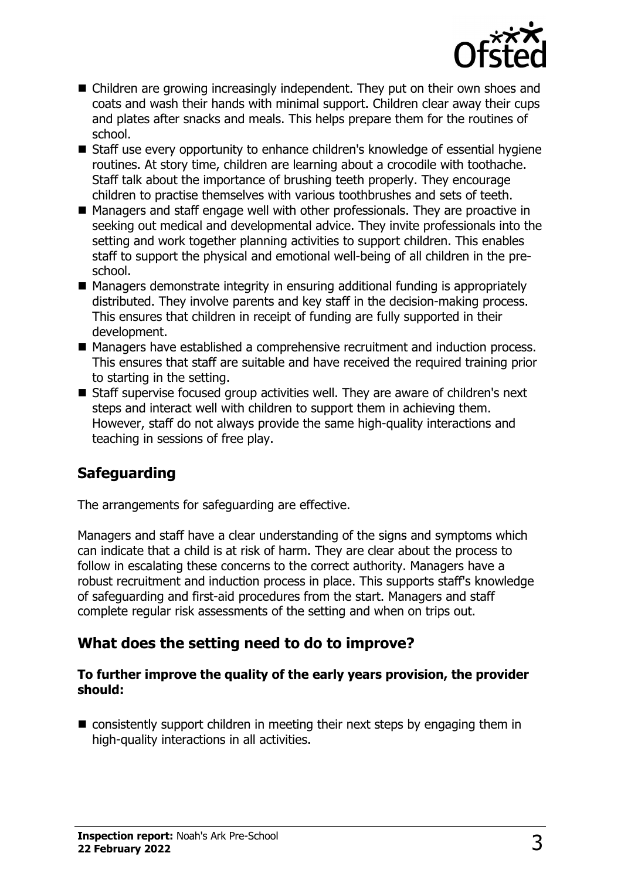

- $\blacksquare$  Children are growing increasingly independent. They put on their own shoes and coats and wash their hands with minimal support. Children clear away their cups and plates after snacks and meals. This helps prepare them for the routines of school.
- Staff use every opportunity to enhance children's knowledge of essential hygiene routines. At story time, children are learning about a crocodile with toothache. Staff talk about the importance of brushing teeth properly. They encourage children to practise themselves with various toothbrushes and sets of teeth.
- $\blacksquare$  Managers and staff engage well with other professionals. They are proactive in seeking out medical and developmental advice. They invite professionals into the setting and work together planning activities to support children. This enables staff to support the physical and emotional well-being of all children in the preschool.
- $\blacksquare$  Managers demonstrate integrity in ensuring additional funding is appropriately distributed. They involve parents and key staff in the decision-making process. This ensures that children in receipt of funding are fully supported in their development.
- Managers have established a comprehensive recruitment and induction process. This ensures that staff are suitable and have received the required training prior to starting in the setting.
- Staff supervise focused group activities well. They are aware of children's next steps and interact well with children to support them in achieving them. However, staff do not always provide the same high-quality interactions and teaching in sessions of free play.

# **Safeguarding**

The arrangements for safeguarding are effective.

Managers and staff have a clear understanding of the signs and symptoms which can indicate that a child is at risk of harm. They are clear about the process to follow in escalating these concerns to the correct authority. Managers have a robust recruitment and induction process in place. This supports staff's knowledge of safeguarding and first-aid procedures from the start. Managers and staff complete regular risk assessments of the setting and when on trips out.

# **What does the setting need to do to improve?**

#### **To further improve the quality of the early years provision, the provider should:**

 $\blacksquare$  consistently support children in meeting their next steps by engaging them in high-quality interactions in all activities.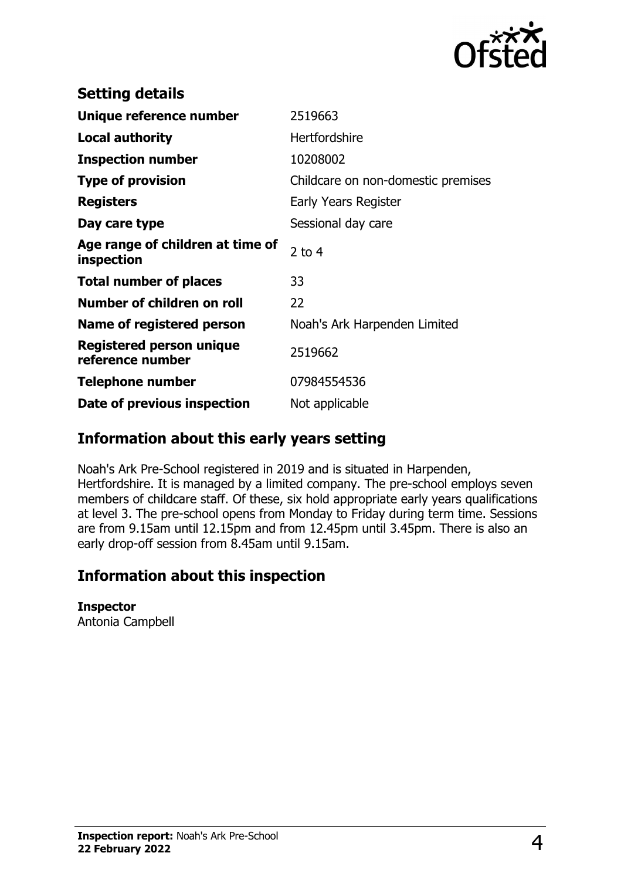

| <b>Setting details</b>                         |                                    |
|------------------------------------------------|------------------------------------|
| Unique reference number                        | 2519663                            |
| <b>Local authority</b>                         | Hertfordshire                      |
| <b>Inspection number</b>                       | 10208002                           |
| <b>Type of provision</b>                       | Childcare on non-domestic premises |
| <b>Registers</b>                               | Early Years Register               |
| Day care type                                  | Sessional day care                 |
| Age range of children at time of<br>inspection | 2 to $4$                           |
| <b>Total number of places</b>                  | 33                                 |
| Number of children on roll                     | 22                                 |
| Name of registered person                      | Noah's Ark Harpenden Limited       |
| Registered person unique<br>reference number   | 2519662                            |
| <b>Telephone number</b>                        | 07984554536                        |
| Date of previous inspection                    | Not applicable                     |

# **Information about this early years setting**

Noah's Ark Pre-School registered in 2019 and is situated in Harpenden, Hertfordshire. It is managed by a limited company. The pre-school employs seven members of childcare staff. Of these, six hold appropriate early years qualifications at level 3. The pre-school opens from Monday to Friday during term time. Sessions are from 9.15am until 12.15pm and from 12.45pm until 3.45pm. There is also an early drop-off session from 8.45am until 9.15am.

# **Information about this inspection**

#### **Inspector**

Antonia Campbell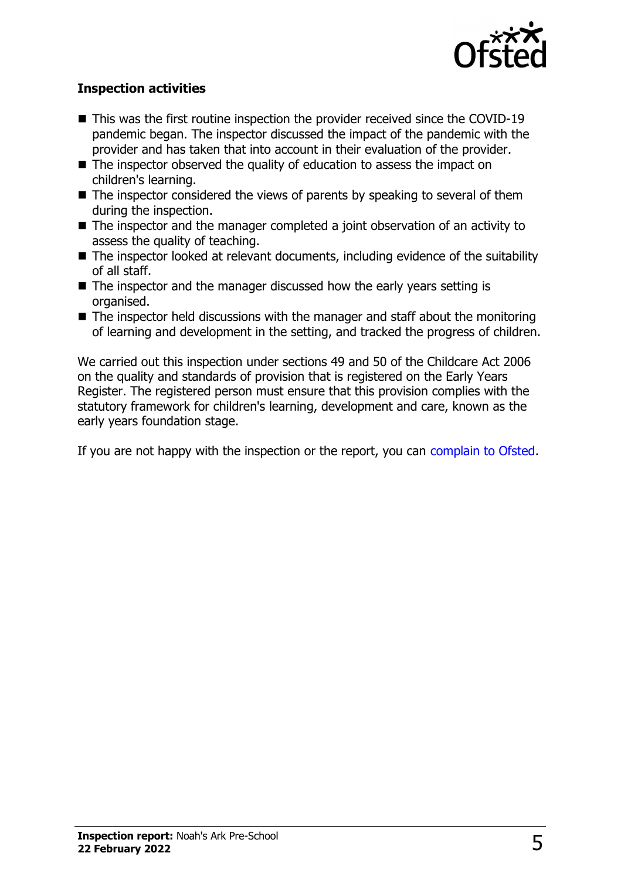

#### **Inspection activities**

- $\blacksquare$  This was the first routine inspection the provider received since the COVID-19 pandemic began. The inspector discussed the impact of the pandemic with the provider and has taken that into account in their evaluation of the provider.
- $\blacksquare$  The inspector observed the quality of education to assess the impact on children's learning.
- $\blacksquare$  The inspector considered the views of parents by speaking to several of them during the inspection.
- $\blacksquare$  The inspector and the manager completed a joint observation of an activity to assess the quality of teaching.
- $\blacksquare$  The inspector looked at relevant documents, including evidence of the suitability of all staff.
- $\blacksquare$  The inspector and the manager discussed how the early years setting is organised.
- $\blacksquare$  The inspector held discussions with the manager and staff about the monitoring of learning and development in the setting, and tracked the progress of children.

We carried out this inspection under sections 49 and 50 of the Childcare Act 2006 on the quality and standards of provision that is registered on the Early Years Register. The registered person must ensure that this provision complies with the statutory framework for children's learning, development and care, known as the early years foundation stage.

If you are not happy with the inspection or the report, you can [complain to Ofsted](http://www.gov.uk/complain-ofsted-report).